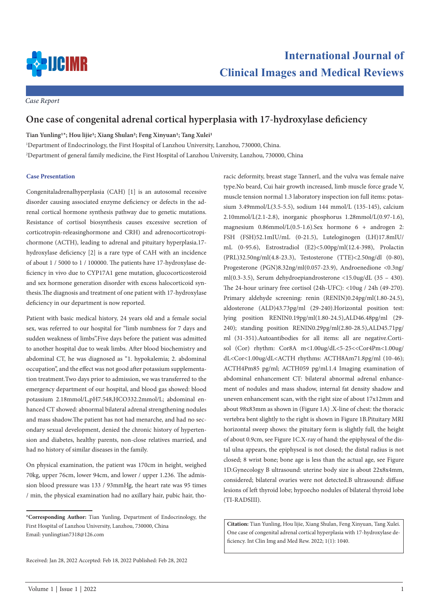

racic deformity, breast stage TannerI, and the vulva was female naive

*Case Report*

## **One case of congenital adrenal cortical hyperplasia with 17-hydroxylase deficiency**

**Tian Yunling1\*; Hou lijie1; Xiang Shulan2; Feng Xinyuan1; Tang Xulei1**

1 Department of Endocrinology, the First Hospital of Lanzhou University, Lanzhou, 730000, China.

2 Department of general family medicine, the First Hospital of Lanzhou University, Lanzhou, 730000, China

## **Case Presentation**

Congenitaladrenalhyperplasia (CAH) [1] is an autosomal recessive disorder causing associated enzyme deficiency or defects in the adrenal cortical hormone synthesis pathway due to genetic mutations. Resistance of cortisol biosynthesis causes excessive secretion of corticotropin-releasinghormone and CRH) and adrenocorticotropichormone (ACTH), leading to adrenal and pituitary hyperplasia.17 hydroxylase deficiency [2] is a rare type of CAH with an incidence of about 1 / 5000 to 1 / 100000. The patients have 17-hydroxylase deficiency in vivo due to CYP17A1 gene mutation, glucocorticosteroid and sex hormone generation disorder with excess halocorticoid synthesis.The diagnosis and treatment of one patient with 17-hydroxylase deficiency in our department is now reported.

Patient with basic medical history, 24 years old and a female social sex, was referred to our hospital for "limb numbness for 7 days and sudden weakness of limbs".Five days before the patient was admitted to another hospital due to weak limbs. After blood biochemistry and abdominal CT, he was diagnosed as "1. hypokalemia; 2. abdominal occupation", and the effect was not good after potassium supplementation treatment.Two days prior to admission, we was transferred to the emergency department of our hospital, and blood gas showed: blood potassium 2.18mmol/L,pH7.548,HCO332.2mmol/L; abdominal enhanced CT showed: abnormal bilateral adrenal strengthening nodules and mass shadow.The patient has not had menarche, and had no secondary sexual development, denied the chronic history of hypertension and diabetes, healthy parents, non-close relatives married, and had no history of similar diseases in the family.

On physical examination, the patient was 170cm in height, weighed 70kg, upper 76cm, lower 94cm, and lower / upper 1.236. The admission blood pressure was 133 / 93mmHg, the heart rate was 95 times / min, the physical examination had no axillary hair, pubic hair, thotype.No beard, Cui hair growth increased, limb muscle force grade V, muscle tension normal 1.3 laboratory inspection ion full items: potassium 3.49mmol/L(3.5-5.5), sodium 144 mmol/L (135-145), calcium 2.10mmol/L(2.1-2.8), inorganic phosphorus 1.28mmol/L(0.97-1.6), magnesium 0.86mmol/L(0.5-1.6).Sex hormone 6 + androgen 2: FSH (FSH)52.1mIU/mL (0-21.5), Luteloginogen (LH)17.8mIU/ mL (0-95.6), Estrostradiol (E2)<5.00pg/ml(12.4-398), Prolactin (PRL)32.50ng/ml(4.8-23.3), Testosterone (TTE)<2.50ng/dl (0-80), Progesterone (PGN)8.32ng/ml(0.057-23.9), Androenedione <0.3ng/ ml(0.3-3.5), Serum dehydroepiandrosterone <15.0ug/dL (35 – 430). The 24-hour urinary free cortisol (24h-UFC): <10ug / 24h (49-270). Primary aldehyde screening: renin (RENIN)0.24pg/ml(1.80-24.5), aldosterone (ALD)43.73pg/ml (29-240).Horizontal position test: lying position RENIN0.19pg/ml(1.80-24.5),ALD46.48pg/ml (29- 240); standing position RENIN0.29pg/ml(2.80-28.5),ALD45.71pg/ ml (31-351).Autoantibodies for all items: all are negative.Cortisol (Cor) rhythm: Cor8A m<1.00ug/dL<5-25<<Cor4Pm<1.00ug/ dL<Cor<1.00ug/dL<ACTH rhythms: ACTH8Am71.8pg/ml (10-46); ACTH4Pm85 pg/ml; ACTH059 pg/ml.1.4 Imaging examination of abdominal enhancement CT: bilateral abnormal adrenal enhancement of nodules and mass shadow, internal fat density shadow and uneven enhancement scan, with the right size of about 17x12mm and about 98x83mm as shown in (Figure 1A) .X-line of chest: the thoracic vertebra bent slightly to the right is shown in Figure 1B.Pituitary MRI horizontal sweep shows: the pituitary form is slightly full, the height of about 0.9cm, see Figure 1C.X-ray of hand: the epiphyseal of the distal ulna appears, the epiphyseal is not closed; the distal radius is not closed; 8 wrist bone; bone age is less than the actual age, see Figure 1D.Gynecology B ultrasound: uterine body size is about 22x8x4mm, considered; bilateral ovaries were not detected.B ultrasound: diffuse lesions of left thyroid lobe; hypoecho nodules of bilateral thyroid lobe (TI-RADSIII).

**Citation:** Tian Yunling, Hou lijie, Xiang Shulan, Feng Xinyuan, Tang Xulei. One case of congenital adrenal cortical hyperplasia with 17-hydroxylase deficiency. Int Clin Img and Med Rew. 2022; 1(1): 1040.

Received: Jan 28, 2022 Accepted: Feb 18, 2022 Published: Feb 28, 2022

**<sup>\*</sup>Corresponding Author:** Tian Yunling, Department of Endocrinology, the First Hospital of Lanzhou University, Lanzhou, 730000, China Email: yunlingtian7318@126.com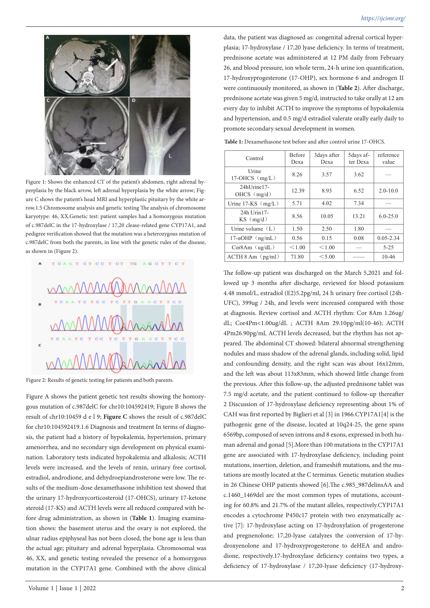

Figure 1: Shows the enhanced CT of the patient's abdomen, right adrenal hyperplasia by the black arrow, left adrenal hyperplasia by the white arrow; Figure C shows the patient's head MRI and hyperplastic pituitary by the white arrow.1.5 Chromosome analysis and genetic testing The analysis of chromosome karyotype: 46, XX.Genetic test: patient samples had a homozygous mutation of c.987delC in the 17-hydroxylase / 17,20 clease-related gene CYP17A1, and pedigree verification showed that the mutation was a heterozygous mutation of c.987delC from both the parents, in line with the genetic rules of the disease, as shown in (Figure 2).



Figure 2: Results of genetic testing for patients and both parents.

Figure A shows the patient genetic test results showing the homozygous mutation of c.987delC for chr10:104592419; Figure B shows the result of chr10:10459 d e l 9; **Figure C** shows the result of c.987delC for chr10:104592419.1.6 Diagnosis and treatment In terms of diagnosis, the patient had a history of hypokalemia, hypertension, primary amenorrhea, and no secondary sign development on physical examination. Laboratory tests indicated hypokalemia and alkalosis; ACTH levels were increased, and the levels of renin, urinary free cortisol, estradiol, androdione, and dehydroepiandrosterone were low. The results of the medium-dose dexamethasone inhibition test showed that the urinary 17-hydroxycorticosteroid (17-OHCS), urinary 17-ketone steroid (17-KS) and ACTH levels were all reduced compared with before drug administration, as shown in (**Table 1**). Imaging examination shows: the basement uterus and the ovary is not explored, the ulnar radius epiphyseal has not been closed, the bone age is less than the actual age; pituitary and adrenal hyperplasia. Chromosomal was 46, XX, and genetic testing revealed the presence of a homozygous mutation in the CYP17A1 gene. Combined with the above clinical

data, the patient was diagnosed as: congenital adrenal cortical hyperplasia; 17-hydroxylase / 17,20 lyase deficiency. In terms of treatment, prednisone acetate was administered at 12 PM daily from February 26, and blood pressure, ion whole term, 24-h urine ion quantification, 17-hydroxyprogesterone (17-OHP), sex hormone 6 and androgen II were continuously monitored, as shown in (**Table 2**). After discharge, prednisone acetate was given 5 mg/d, instructed to take orally at 12 am every day to inhibit ACTH to improve the symptoms of hypokalemia and hypertension, and 0.5 mg/d estradiol valerate orally early daily to promote secondary sexual development in women.

| Control                      | <b>Before</b><br>Dexa | 3 days after<br>Dexa | 5days af-<br>ter Dexa | reference<br>value |
|------------------------------|-----------------------|----------------------|-----------------------|--------------------|
| Urine<br>$17-OHCS$ (mg/L)    | 8.26                  | 3.57                 | 3.62                  |                    |
| 24hUrine17-<br>OHCS $(mg/d)$ | 12.39                 | 8.93                 | 6.52                  | $2.0 - 10.0$       |
| Urine $17-KS$ (mg/L)         | 5.71                  | 4.02                 | 7.34                  |                    |
| 24h Urin17-<br>$KS$ (mg/d)   | 8.56                  | 10.05                | 13.21                 | $6.0 - 25.0$       |
| Urine volume $(L)$           | 1.50                  | 2.50                 | 1.80                  |                    |
| $17-\alpha$ OHP $(ng/mL)$    | 0.56                  | 0.15                 | 0.08                  | $0.05 - 2.34$      |
| $Cor8Am$ ( $ug/dL$ )         | < 1.00                | < 1.00               |                       | $5 - 25$           |
| ACTH 8 Am (pg/ml)            | 71.80                 | < 5.00               |                       | $10 - 46$          |

**Table 1:** Dexamethasone test before and after control urine 17-OHCS.

The follow-up patient was discharged on the March 5,2021 and followed up 3 months after discharge, reviewed for blood potassium 4.48 mmol/L, estradiol (E2)5.2pg/ml, 24 h urinary free cortisol (24h-UFC), 399ug / 24h, and levels were increased compared with those at diagnosis. Review cortisol and ACTH rhythm: Cor 8Am 1.26ug/ dL; Cor4Pm<1.00ug/dL ; ACTH 8Am 29.10pg/ml(10-46); ACTH 4Pm26.90pg/ml, ACTH levels decreased, but the rhythm has not appeared. The abdominal CT showed: bilateral abnormal strengthening nodules and mass shadow of the adrenal glands, including solid, lipid and confounding density, and the right scan was about 16x12mm, and the left was about 113x83mm, which showed little change from the previous. After this follow-up, the adjusted prednisone tablet was 7.5 mg/d acetate, and the patient continued to follow-up thereafter 2 Discussion of 17-hydroxylase deficiency representing about 1% of CAH was first reported by Biglieri et al [3] in 1966.CYP17A1[4] is the pathogenic gene of the disease, located at 10q24-25, the gene spans 6569bp, composed of seven introns and 8 exons, expressed in both human adrenal and gonad [5].More than 100 mutations in the CYP17A1 gene are associated with 17-hydroxylase deficiency, including point mutations, insertion, deletion, and frameshift mutations, and the mutations are mostly located at the C terminus. Genetic mutation studies in 26 Chinese OHP patients showed [6].The c.985\_987delinsAA and c.1460\_1469del are the most common types of mutations, accounting for 60.8% and 21.7% of the mutant alleles, respectively.CYP17A1 encodes a cytochrome P450c17 protein with two enzymatically active [7]: 17-hydroxylase acting on 17-hydroxylation of progesterone and pregnenolone; 17,20-lyase catalyzes the conversion of 17-hydroxyenolone and 17-hydroxyprogesterone to deHEA and androdione, respectively.17-hydroxylase deficiency contains two types, a deficiency of 17-hydroxylase / 17,20-lyase deficiency (17-hydroxy-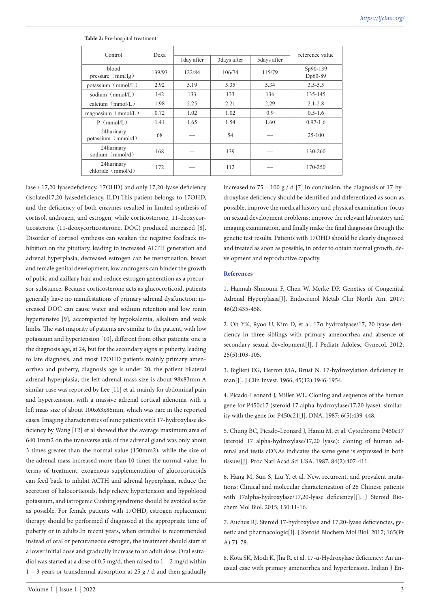| Control                                   | Dexa   |             |              |             | reference value     |
|-------------------------------------------|--------|-------------|--------------|-------------|---------------------|
|                                           |        | 1 day after | 3 days after | 5days after |                     |
| blood<br>pressure $(mmHg)$                | 139/93 | 122/84      | 106/74       | 115/79      | Sp90-139<br>Dp60-89 |
| potassium (mmol/L)                        | 2.92   | 5.19        | 5.35         | 5.34        | $3.5 - 5.5$         |
| sodium $(mmol/L)$                         | 142    | 133         | 133          | 136         | 135-145             |
| calcium $(mmol/L)$                        | 1.98   | 2.25        | 2.21         | 2.29        | $2.1 - 2.8$         |
| magnesium $\langle \text{mmol/L} \rangle$ | 0.72   | 1.02        | 1.02         | 0.9         | $0.5 - 1.6$         |
| (mmol/L)<br>P                             | 1.41   | 1.65        | 1.54         | 1.60        | $0.97 - 1.6$        |
| 24hurinary<br>potassium (mmol/d)          | 68     |             | 54           |             | $25 - 100$          |
| 24hurinary<br>sodium $(mmol/d)$           | 168    |             | 139          |             | 130-260             |
| 24hurinary<br>chloride $(mmol/d)$         | 172    |             | 112          |             | 170-250             |

**Table 2:** Pre-hospital treatment.

lase / 17,20-lyasedeficiency, 17OHD) and only 17,20-lyase deficiency (isolated17,20-lyasedeficiency, ILD).This patient belongs to 17OHD, and the deficiency of both enzymes resulted in limited synthesis of cortisol, androgen, and estrogen, while corticosterone, 11-deoxycorticosterone (11-deoxycorticosterone, DOC) produced increased [8]. Disorder of cortisol synthesis can weaken the negative feedback inhibition on the pituitary, leading to increased ACTH generation and adrenal hyperplasia; decreased estrogen can be menstruation, breast and female genital development; low androgens can hinder the growth of pubic and axillary hair and reduce estrogen generation as a precursor substance. Because corticosterone acts as glucocorticoid, patients generally have no manifestations of primary adrenal dysfunction; increased DOC can cause water and sodium retention and low renin hypertensive [9], accompanied by hypokalemia, alkalism and weak limbs. The vast majority of patients are similar to the patient, with low potassium and hypertension [10], different from other patients: one is the diagnosis age, at 24, but for the secondary signs at puberty, leading to late diagnosis, and most 17OHD patients mainly primary amenorrhea and puberty, diagnosis age is under 20, the patient bilateral adrenal hyperplasia, the left adrenal mass size is about 98x83mm.A similar case was reported by Lee [11] et al, mainly for abdominal pain and hypertension, with a massive adrenal cortical adenoma with a left mass size of about 100x63x86mm, which was rare in the reported cases. Imaging characteristics of nine patients with 17-hydroxylase deficiency by Wang [12] et al showed that the average maximum area of 640.1mm2 on the transverse axis of the adrenal gland was only about 3 times greater than the normal value (150mm2), while the size of the adrenal mass increased more than 10 times the normal value. In terms of treatment, exogenous supplementation of glucocorticoids can feed back to inhibit ACTH and adrenal hyperplasia, reduce the secretion of halocorticoids, help relieve hypertension and hypoblood potassium, and iatrogenic Cushing syndrome should be avoided as far as possible. For female patients with 17OHD, estrogen replacement therapy should be performed if diagnosed at the appropriate time of puberty or in adults.In recent years, when estradiol is recommended instead of oral or percutaneous estrogen, the treatment should start at a lower initial dose and gradually increase to an adult dose. Oral estradiol was started at a dose of 0.5 mg/d, then raised to  $1 - 2$  mg/d within  $1 - 3$  years or transdermal absorption at 25 g / d and then gradually

increased to  $75 - 100$  g / d [7]. In conclusion, the diagnosis of 17-hydroxylase deficiency should be identified and differentiated as soon as possible, improve the medical history and physical examination, focus on sexual development problems; improve the relevant laboratory and imaging examination, and finally make the final diagnosis through the genetic test results. Patients with 17OHD should be clearly diagnosed and treated as soon as possible, in order to obtain normal growth, development and reproductive capacity.

## **References**

1. Hannah-Shmouni F, Chen W, Merke DP. Genetics of Congenital Adrenal Hyperplasia[J]. Endocrinol Metab Clin North Am. 2017; 46(2):435-458.

2. Oh YK, Ryoo U, Kim D, et al. 17α-hydroxlyase/17, 20-lyase deficiency in three siblings with primary amenorrhea and absence of secondary sexual development<sup>[J]</sup>. J Pediatr Adolesc Gynecol. 2012; 25(5):103-105.

3. Biglieri EG, Herron MA, Brust N. 17-hydroxylation deficiency in man[J]. J Clin Invest. 1966; 45(12):1946-1954.

4. Picado-Leonard J, Miller WL. Cloning and sequence of the human gene for P450c17 (steroid 17 alpha-hydroxylase/17,20 lyase): similarity with the gene for P450c21[J]. DNA. 1987; 6(5):439-448.

5. Chung BC, Picado-Leonard J, Haniu M, et al. Cytochrome P450c17 (steroid 17 alpha-hydroxylase/17,20 lyase): cloning of human adrenal and testis cDNAs indicates the same gene is expressed in both tissues[J]. Proc Natl Acad Sci USA. 1987; 84(2):407-411.

6. Hang M, Sun S, Liu Y, et al. New, recurrent, and prevalent mutations: Clinical and molecular characterization of 26 Chinese patients with 17alpha-hydroxylase/17,20-lyase deficiency[J]. J Steroid Biochem Mol Biol. 2015; 150:11-16.

7. Auchus RJ. Steroid 17-hydroxylase and 17,20-lyase deficiencies, genetic and pharmacologic[J]. J Steroid Biochem Mol Biol. 2017; 165(Pt A):71-78.

8. Kota SK, Modi K, Jha R, et al. 17-α-Hydroxylase deficiency: An unusual case with primary amenorrhea and hypertension. Indian J En